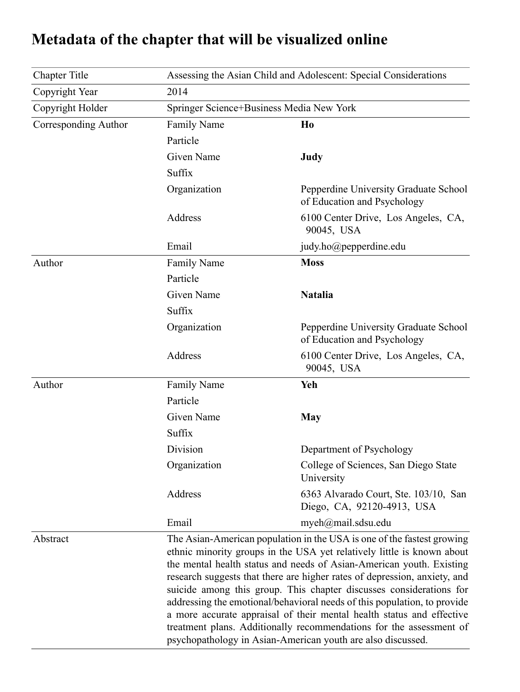## Metadata of the chapter that will be visualized online

| Chapter Title        | Assessing the Asian Child and Adolescent: Special Considerations                                                                                                                                                                                                                                                                                                                                                                                                                                                                                                                                                                                                        |                                                                      |
|----------------------|-------------------------------------------------------------------------------------------------------------------------------------------------------------------------------------------------------------------------------------------------------------------------------------------------------------------------------------------------------------------------------------------------------------------------------------------------------------------------------------------------------------------------------------------------------------------------------------------------------------------------------------------------------------------------|----------------------------------------------------------------------|
| Copyright Year       | 2014                                                                                                                                                                                                                                                                                                                                                                                                                                                                                                                                                                                                                                                                    |                                                                      |
| Copyright Holder     | Springer Science+Business Media New York                                                                                                                                                                                                                                                                                                                                                                                                                                                                                                                                                                                                                                |                                                                      |
| Corresponding Author | <b>Family Name</b>                                                                                                                                                                                                                                                                                                                                                                                                                                                                                                                                                                                                                                                      | Ho                                                                   |
|                      | Particle                                                                                                                                                                                                                                                                                                                                                                                                                                                                                                                                                                                                                                                                |                                                                      |
|                      | Given Name                                                                                                                                                                                                                                                                                                                                                                                                                                                                                                                                                                                                                                                              | Judy                                                                 |
|                      | Suffix                                                                                                                                                                                                                                                                                                                                                                                                                                                                                                                                                                                                                                                                  |                                                                      |
|                      | Organization                                                                                                                                                                                                                                                                                                                                                                                                                                                                                                                                                                                                                                                            | Pepperdine University Graduate School<br>of Education and Psychology |
|                      | Address                                                                                                                                                                                                                                                                                                                                                                                                                                                                                                                                                                                                                                                                 | 6100 Center Drive, Los Angeles, CA,<br>90045, USA                    |
|                      | Email                                                                                                                                                                                                                                                                                                                                                                                                                                                                                                                                                                                                                                                                   | judy.ho@pepperdine.edu                                               |
| Author               | <b>Family Name</b>                                                                                                                                                                                                                                                                                                                                                                                                                                                                                                                                                                                                                                                      | <b>Moss</b>                                                          |
|                      | Particle                                                                                                                                                                                                                                                                                                                                                                                                                                                                                                                                                                                                                                                                |                                                                      |
|                      | Given Name                                                                                                                                                                                                                                                                                                                                                                                                                                                                                                                                                                                                                                                              | <b>Natalia</b>                                                       |
|                      | Suffix                                                                                                                                                                                                                                                                                                                                                                                                                                                                                                                                                                                                                                                                  |                                                                      |
|                      | Organization                                                                                                                                                                                                                                                                                                                                                                                                                                                                                                                                                                                                                                                            | Pepperdine University Graduate School<br>of Education and Psychology |
|                      | Address                                                                                                                                                                                                                                                                                                                                                                                                                                                                                                                                                                                                                                                                 | 6100 Center Drive, Los Angeles, CA,<br>90045, USA                    |
| Author               | <b>Family Name</b>                                                                                                                                                                                                                                                                                                                                                                                                                                                                                                                                                                                                                                                      | Yeh                                                                  |
|                      | Particle                                                                                                                                                                                                                                                                                                                                                                                                                                                                                                                                                                                                                                                                |                                                                      |
|                      | Given Name                                                                                                                                                                                                                                                                                                                                                                                                                                                                                                                                                                                                                                                              | <b>May</b>                                                           |
|                      | Suffix                                                                                                                                                                                                                                                                                                                                                                                                                                                                                                                                                                                                                                                                  |                                                                      |
|                      | Division                                                                                                                                                                                                                                                                                                                                                                                                                                                                                                                                                                                                                                                                | Department of Psychology                                             |
|                      | Organization                                                                                                                                                                                                                                                                                                                                                                                                                                                                                                                                                                                                                                                            | College of Sciences, San Diego State<br>University                   |
|                      | Address                                                                                                                                                                                                                                                                                                                                                                                                                                                                                                                                                                                                                                                                 | 6363 Alvarado Court, Ste. 103/10, San<br>Diego, CA, 92120-4913, USA  |
|                      | Email                                                                                                                                                                                                                                                                                                                                                                                                                                                                                                                                                                                                                                                                   | myeh@mail.sdsu.edu                                                   |
| Abstract             | The Asian-American population in the USA is one of the fastest growing<br>ethnic minority groups in the USA yet relatively little is known about<br>the mental health status and needs of Asian-American youth. Existing<br>research suggests that there are higher rates of depression, anxiety, and<br>suicide among this group. This chapter discusses considerations for<br>addressing the emotional/behavioral needs of this population, to provide<br>a more accurate appraisal of their mental health status and effective<br>treatment plans. Additionally recommendations for the assessment of<br>psychopathology in Asian-American youth are also discussed. |                                                                      |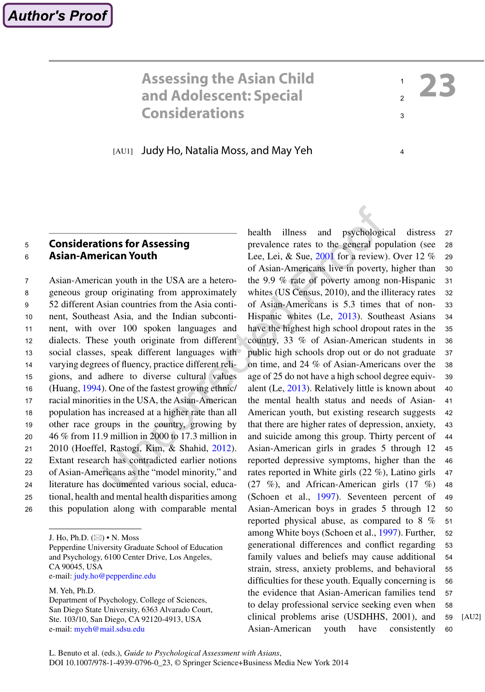## **Assessing the Asian Child**  $\overline{23}$ **and Adolescent: Special Considerations**

[AU2]

## [AU1] Judy Ho, Natalia Moss, and May Yeh

## 4

1  $\mathfrak{p}$ 3

#### **Considerations for Assessing Asian-American Youth** 5 6

Asian-American youth in the USA are a heterogeneous group originating from approximately 52 different Asian countries from the Asia continent, Southeast Asia, and the Indian subcontinent, with over 100 spoken languages and dialects. These youth originate from different social classes, speak different languages with varying degrees of fluency, practice different religions, and adhere to diverse cultural values (Huang, [1994\)](#page-6-0). One of the fastest growing ethnic/ racial minorities in the USA, the Asian-American population has increased at a higher rate than all other race groups in the country, growing by 46 % from 11.9 million in 2000 to 17.3 million in 2010 (Hoeffel, Rastogi, Kim, & Shahid, [2012\)](#page-6-1). Extant research has contradicted earlier notions of Asian-Americans as the "model minority," and literature has documented various social, educational, health and mental health disparities among this population along with comparable mental 7 8 9 10 11 12 13 14 15 16 17 18 19 20 21 22 23 24 25 26

Pepperdine University Graduate School of Education and Psychology, 6100 Center Drive, Los Angeles, CA 90045, USA e-mail: [judy.ho@pepperdine.edu](mailto:judy.ho@pepperdine.edu)

M. Yeh, Ph.D.

health illness and psychological distress prevalence rates to the general population (see Lee, Lei, & Sue, [2001](#page-6-2) for a review). Over 12 % of Asian-Americans live in poverty, higher than the 9.9 % rate of poverty among non-Hispanic whites (US Census, 2010), and the illiteracy rates of Asian-Americans is 5.3 times that of non-Hispanic whites (Le, [2013\)](#page-6-3). Southeast Asians have the highest high school dropout rates in the country, 33 % of Asian-American students in public high schools drop out or do not graduate on time, and 24 % of Asian-Americans over the age of 25 do not have a high school degree equivalent (Le, [2013](#page-6-3)). Relatively little is known about the mental health status and needs of Asian-American youth, but existing research suggests that there are higher rates of depression, anxiety, and suicide among this group. Thirty percent of Asian-American girls in grades 5 through 12 reported depressive symptoms, higher than the rates reported in White girls (22 %), Latino girls (27 %), and African-American girls (17 %) (Schoen et al., [1997\)](#page-6-4). Seventeen percent of Asian-American boys in grades 5 through 12 reported physical abuse, as compared to 8 % among White boys (Schoen et al., [1997\)](#page-6-4). Further, generational differences and conflict regarding family values and beliefs may cause additional strain, stress, anxiety problems, and behavioral difficulties for these youth. Equally concerning is the evidence that Asian-American families tend to delay professional service seeking even when clinical problems arise (USDHHS, 2001), and Asian-American youth have consistently 27 28 29 30 31 32 33 34 35 36 37 38 39  $40$ 41 42 43 44 45 46 47 48 49  $50$ 51 52 53 54 55 56 57 58 59 60

J. Ho, Ph.D.  $(\boxtimes) \cdot N$ . Moss

Department of Psychology, College of Sciences, San Diego State University, 6363 Alvarado Court, Ste. 103/10, San Diego, CA 92120-4913, USA e-mail: [myeh@mail.sdsu.edu](mailto:myeh@mail.sdsu.edu)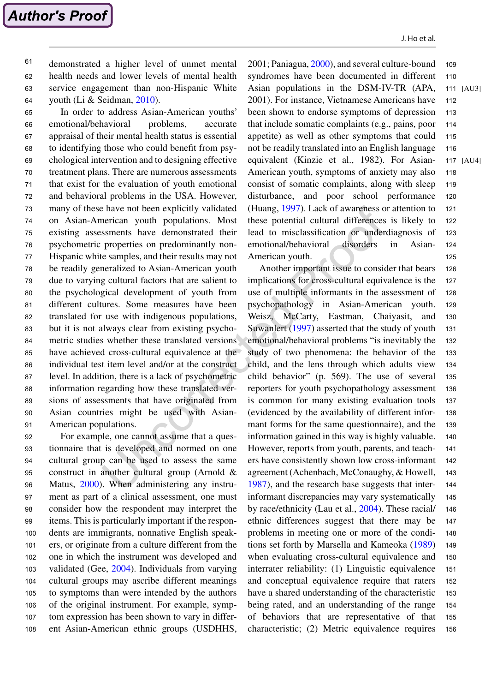**Author's Proof** 

J. Ho et al.

demonstrated a higher level of unmet mental health needs and lower levels of mental health service engagement than non-Hispanic White youth (Li & Seidman, [2010](#page-6-5)). 61 62 63 64

In order to address Asian-American youths' emotional/behavioral problems, accurate appraisal of their mental health status is essential to identifying those who could benefit from psychological intervention and to designing effective treatment plans. There are numerous assessments that exist for the evaluation of youth emotional and behavioral problems in the USA. However, many of these have not been explicitly validated on Asian-American youth populations. Most existing assessments have demonstrated their psychometric properties on predominantly non-Hispanic white samples, and their results may not be readily generalized to Asian-American youth due to varying cultural factors that are salient to the psychological development of youth from different cultures. Some measures have been translated for use with indigenous populations, but it is not always clear from existing psychometric studies whether these translated versions have achieved cross-cultural equivalence at the individual test item level and/or at the construct level. In addition, there is a lack of psychometric information regarding how these translated versions of assessments that have originated from Asian countries might be used with Asian-American populations. 65 66 67 68 69 70 71 72 73 74 75 76 77 78 79 80 81 82 83 84 85 86 87 88 89 90 91

For example, one cannot assume that a questionnaire that is developed and normed on one cultural group can be used to assess the same construct in another cultural group (Arnold & Matus, [2000](#page-5-0)). When administering any instrument as part of a clinical assessment, one must consider how the respondent may interpret the items. This is particularly important if the respondents are immigrants, nonnative English speakers, or originate from a culture different from the one in which the instrument was developed and validated (Gee, [2004](#page-6-6)). Individuals from varying cultural groups may ascribe different meanings to symptoms than were intended by the authors of the original instrument. For example, symptom expression has been shown to vary in different Asian-American ethnic groups (USDHHS, 92 93 94 95 96 97 98 99 100 101 102 103 104 105 106 107 108

2001; Paniagua, [2000](#page-6-7)), and several culture-bound syndromes have been documented in different Asian populations in the DSM-IV-TR (APA, 2001). For instance, Vietnamese Americans have been shown to endorse symptoms of depression that include somatic complaints (e.g., pains, poor appetite) as well as other symptoms that could not be readily translated into an English language equivalent (Kinzie et al., 1982). For Asian-American youth, symptoms of anxiety may also consist of somatic complaints, along with sleep disturbance, and poor school performance (Huang, [1997\)](#page-6-8). Lack of awareness or attention to these potential cultural differences is likely to lead to misclassification or underdiagnosis of emotional/behavioral disorders in Asian-American youth. [AU3] 111 [AU4] 117 109 110 112 113 114 115 116 118 119 120 121 122 123 124 125

Another important issue to consider that bears implications for cross-cultural equivalence is the use of multiple informants in the assessment of psychopathology in Asian-American youth. Weisz, McCarty, Eastman, Chaiyasit, and Suwanlert [\(1997](#page-6-9)) asserted that the study of youth emotional/behavioral problems "is inevitably the study of two phenomena: the behavior of the child, and the lens through which adults view child behavior" (p. 569). The use of several reporters for youth psychopathology assessment is common for many existing evaluation tools (evidenced by the availability of different informant forms for the same questionnaire), and the information gained in this way is highly valuable. However, reports from youth, parents, and teachers have consistently shown low cross-informant agreement (Achenbach, McConaughy, & Howell, [1987\)](#page-5-1), and the research base suggests that interinformant discrepancies may vary systematically by race/ethnicity (Lau et al., [2004\)](#page-6-10). These racial/ ethnic differences suggest that there may be problems in meeting one or more of the conditions set forth by Marsella and Kameoka [\(1989](#page-6-11)) when evaluating cross-cultural equivalence and interrater reliability: (1) Linguistic equivalence and conceptual equivalence require that raters have a shared understanding of the characteristic being rated, and an understanding of the range of behaviors that are representative of that characteristic; (2) Metric equivalence requires 126 127 128 129 130 131 132 133 134 135 136 137 138 139 140 141 142 143 144 145 146 147 148 149 150 151 152 153 154 155 156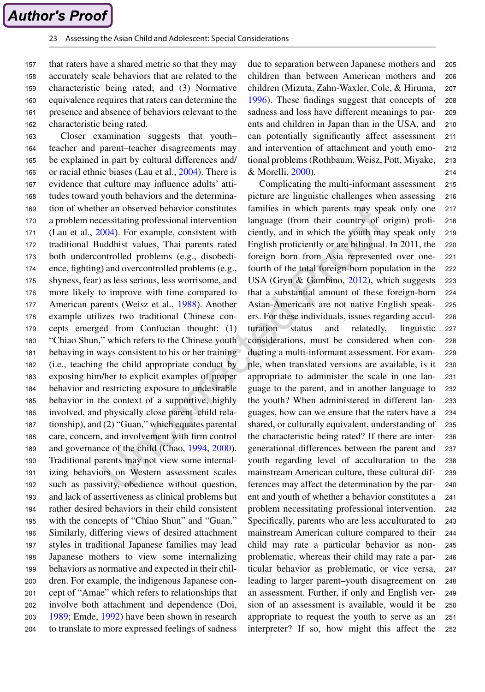**Author's Proof** 

### 23 Assessing the Asian Child and Adolescent: Special Considerations

that raters have a shared metric so that they may accurately scale behaviors that are related to the characteristic being rated; and (3) Normative equivalence requires that raters can determine the presence and absence of behaviors relevant to the characteristic being rated. 157 158 159 160 161 162

Closer examination suggests that youth– teacher and parent–teacher disagreements may be explained in part by cultural differences and/ or racial ethnic biases (Lau et al., [2004](#page-6-10)). There is evidence that culture may influence adults' attitudes toward youth behaviors and the determination of whether an observed behavior constitutes a problem necessitating professional intervention (Lau et al., [2004](#page-6-10)). For example, consistent with traditional Buddhist values, Thai parents rated both undercontrolled problems (e.g., disobedience, fighting) and overcontrolled problems (e.g., shyness, fear) as less serious, less worrisome, and more likely to improve with time compared to American parents (Weisz et al., [1988\)](#page-6-12). Another example utilizes two traditional Chinese concepts emerged from Confucian thought: (1) "Chiao Shun," which refers to the Chinese youth behaving in ways consistent to his or her training (i.e., teaching the child appropriate conduct by exposing him/her to explicit examples of proper behavior and restricting exposure to undesirable behavior in the context of a supportive, highly involved, and physically close parent–child relationship), and (2) "Guan," which equates parental care, concern, and involvement with firm control and governance of the child (Chao, [1994,](#page-5-2) [2000\)](#page-5-3). Traditional parents may not view some internalizing behaviors on Western assessment scales such as passivity, obedience without question, and lack of assertiveness as clinical problems but rather desired behaviors in their child consistent with the concepts of "Chiao Shun" and "Guan." Similarly, differing views of desired attachment styles in traditional Japanese families may lead Japanese mothers to view some internalizing behaviors as normative and expected in their children. For example, the indigenous Japanese concept of "Amae" which refers to relationships that involve both attachment and dependence (Doi, [1989](#page-6-13); Emde, [1992\)](#page-6-14) have been shown in research to translate to more expressed feelings of sadness 163 164 165 166 167 168 169 170 171 172 173 174 175 176 177 178 179 180 181 182 183 184 185 186 187 188 189 190 191 192 193 194 195 196 197 198 199 200 201 202 203 204

due to separation between Japanese mothers and children than between American mothers and children (Mizuta, Zahn-Waxler, Cole, & Hiruma, [1996\)](#page-6-15). These findings suggest that concepts of sadness and loss have different meanings to parents and children in Japan than in the USA, and can potentially significantly affect assessment and intervention of attachment and youth emotional problems (Rothbaum, Weisz, Pott, Miyake, & Morelli, [2000](#page-6-16)). 205 206 207 208 209 210 211 212 213 214

Complicating the multi-informant assessment picture are linguistic challenges when assessing families in which parents may speak only one language (from their country of origin) proficiently, and in which the youth may speak only English proficiently or are bilingual. In 2011, the foreign born from Asia represented over onefourth of the total foreign-born population in the USA (Gryn & Gambino, [2012\)](#page-6-17), which suggests that a substantial amount of these foreign-born Asian-Americans are not native English speakers. For these individuals, issues regarding acculturation status and relatedly, linguistic considerations, must be considered when conducting a multi-informant assessment. For example, when translated versions are available, is it appropriate to administer the scale in one language to the parent, and in another language to the youth? When administered in different languages, how can we ensure that the raters have a shared, or culturally equivalent, understanding of the characteristic being rated? If there are intergenerational differences between the parent and youth regarding level of acculturation to the mainstream American culture, these cultural differences may affect the determination by the parent and youth of whether a behavior constitutes a problem necessitating professional intervention. Specifically, parents who are less acculturated to mainstream American culture compared to their child may rate a particular behavior as nonproblematic, whereas their child may rate a particular behavior as problematic, or vice versa, leading to larger parent–youth disagreement on an assessment. Further, if only and English version of an assessment is available, would it be appropriate to request the youth to serve as an interpreter? If so, how might this affect the 215 216 217 218 219 220 221 222 223 224 225 226 227 228 229 230 231 232 233 234 235 236 237 238 239 240 241 242 243 244 245 246 247 248 249 250 251 252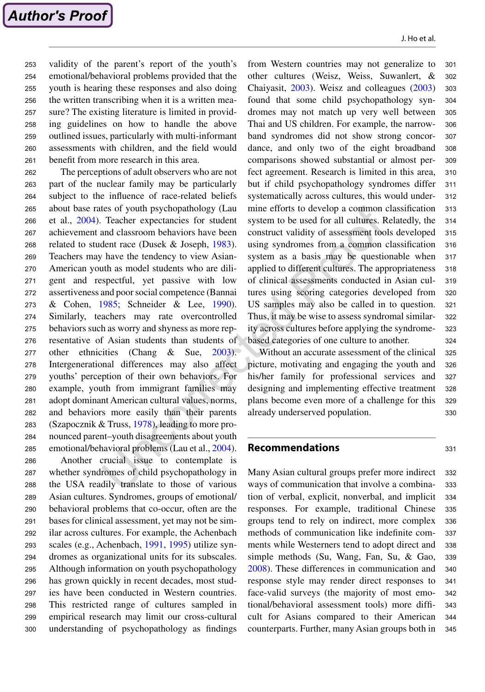validity of the parent's report of the youth's emotional/behavioral problems provided that the youth is hearing these responses and also doing the written transcribing when it is a written measure? The existing literature is limited in providing guidelines on how to handle the above outlined issues, particularly with multi-informant assessments with children, and the field would benefit from more research in this area. 253 254 255 256 257 258 259 260 261

The perceptions of adult observers who are not part of the nuclear family may be particularly subject to the influence of race-related beliefs about base rates of youth psychopathology (Lau et al., [2004\)](#page-6-10). Teacher expectancies for student achievement and classroom behaviors have been related to student race (Dusek & Joseph, [1983\)](#page-6-18). Teachers may have the tendency to view Asian-American youth as model students who are diligent and respectful, yet passive with low assertiveness and poor social competence (Bannai & Cohen, [1985;](#page-5-4) Schneider & Lee, [1990\)](#page-6-19). Similarly, teachers may rate overcontrolled behaviors such as worry and shyness as more representative of Asian students than students of other ethnicities (Chang & Sue, [2003\)](#page-5-5). Intergenerational differences may also affect youths' perception of their own behaviors. For example, youth from immigrant families may adopt dominant American cultural values, norms, and behaviors more easily than their parents (Szapocznik & Truss, [1978](#page-6-20)), leading to more pronounced parent–youth disagreements about youth emotional/behavioral problems (Lau et al., [2004\)](#page-6-10). 262 263 264 265 266 267 268 269 270 271 272 273 274 275 276 277 278 279 280 281 282 283 284 285

Another crucial issue to contemplate is whether syndromes of child psychopathology in the USA readily translate to those of various Asian cultures. Syndromes, groups of emotional/ behavioral problems that co-occur, often are the bases for clinical assessment, yet may not be similar across cultures. For example, the Achenbach scales (e.g., Achenbach, [1991](#page-5-6), [1995\)](#page-5-7) utilize syndromes as organizational units for its subscales. Although information on youth psychopathology has grown quickly in recent decades, most studies have been conducted in Western countries. This restricted range of cultures sampled in empirical research may limit our cross-cultural understanding of psychopathology as findings 286 287 288 289 290 291 292 293 294 295 296 297 298 299 300

from Western countries may not generalize to other cultures (Weisz, Weiss, Suwanlert, & Chaiyasit, [2003\)](#page-6-21). Weisz and colleagues [\(2003](#page-6-21)) found that some child psychopathology syndromes may not match up very well between Thai and US children. For example, the narrowband syndromes did not show strong concordance, and only two of the eight broadband comparisons showed substantial or almost perfect agreement. Research is limited in this area, but if child psychopathology syndromes differ systematically across cultures, this would undermine efforts to develop a common classification system to be used for all cultures. Relatedly, the construct validity of assessment tools developed using syndromes from a common classification system as a basis may be questionable when applied to different cultures. The appropriateness of clinical assessments conducted in Asian cultures using scoring categories developed from US samples may also be called in to question. Thus, it may be wise to assess syndromal similarity across cultures before applying the syndromebased categories of one culture to another. 301 302 303 304 305 306 307 308 309 310 311 312 313 314 315 316 317 318 319 320 321 322 323 324

Without an accurate assessment of the clinical picture, motivating and engaging the youth and his/her family for professional services and designing and implementing effective treatment plans become even more of a challenge for this already underserved population. 325 326 327 328 329 330

331

## **Recommendations**

Many Asian cultural groups prefer more indirect ways of communication that involve a combination of verbal, explicit, nonverbal, and implicit responses. For example, traditional Chinese groups tend to rely on indirect, more complex methods of communication like indefinite comments while Westerners tend to adopt direct and simple methods (Su, Wang, Fan, Su, & Gao, [2008](#page-6-22)). These differences in communication and response style may render direct responses to face-valid surveys (the majority of most emotional/behavioral assessment tools) more difficult for Asians compared to their American counterparts. Further, many Asian groups both in 332 333 334 335 336 337 338 339 340 341 342 343 344 345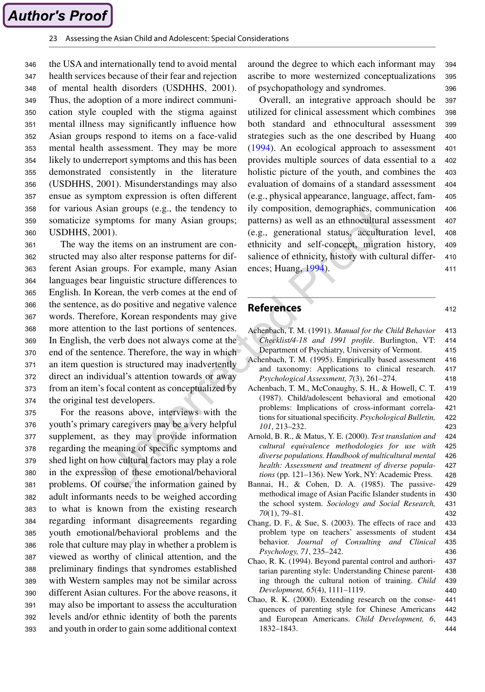23 Assessing the Asian Child and Adolescent: Special Considerations

the USA and internationally tend to avoid mental health services because of their fear and rejection of mental health disorders (USDHHS, 2001). Thus, the adoption of a more indirect communication style coupled with the stigma against mental illness may significantly influence how Asian groups respond to items on a face-valid mental health assessment. They may be more likely to underreport symptoms and this has been demonstrated consistently in the literature (USDHHS, 2001). Misunderstandings may also ensue as symptom expression is often different for various Asian groups (e.g., the tendency to somaticize symptoms for many Asian groups; USDHHS, 2001). 346 347 348 349 350 351 352 353 354 355 356 357 358 359 360

The way the items on an instrument are constructed may also alter response patterns for different Asian groups. For example, many Asian languages bear linguistic structure differences to English. In Korean, the verb comes at the end of the sentence, as do positive and negative valence words. Therefore, Korean respondents may give more attention to the last portions of sentences. In English, the verb does not always come at the end of the sentence. Therefore, the way in which an item question is structured may inadvertently direct an individual's attention towards or away from an item's focal content as conceptualized by the original test developers. 361 362 363 364 365 366 367 368 369 370 371 372 373 374

For the reasons above, interviews with the youth's primary caregivers may be a very helpful supplement, as they may provide information regarding the meaning of specific symptoms and shed light on how cultural factors may play a role in the expression of these emotional/behavioral problems. Of course, the information gained by adult informants needs to be weighed according to what is known from the existing research regarding informant disagreements regarding youth emotional/behavioral problems and the role that culture may play in whether a problem is viewed as worthy of clinical attention, and the preliminary findings that syndromes established with Western samples may not be similar across different Asian cultures. For the above reasons, it may also be important to assess the acculturation levels and/or ethnic identity of both the parents and youth in order to gain some additional context 375 376 377 378 379 380 381 382 383 384 385 386 387 388 389 390 391 392 393

around the degree to which each informant may ascribe to more westernized conceptualizations of psychopathology and syndromes. 394 395 396

Overall, an integrative approach should be utilized for clinical assessment which combines both standard and ethnocultural assessment strategies such as the one described by Huang [\(1994](#page-6-0)). An ecological approach to assessment provides multiple sources of data essential to a holistic picture of the youth, and combines the evaluation of domains of a standard assessment (e.g., physical appearance, language, affect, family composition, demographics, communication patterns) as well as an ethnocultural assessment (e.g., generational status, acculturation level, ethnicity and self-concept, migration history, salience of ethnicity, history with cultural differences; Huang, [1994\)](#page-6-0). 397 398 399 400 401 402 403 404 405 406 407 408 409 410 411

## **References**

<span id="page-5-6"></span>Achenbach, T. M. (1991). *Manual for the Child Behavior Checklist/4-18 and 1991 profile*. Burlington, VT: Department of Psychiatry, University of Vermont. 413 414 415

412

- <span id="page-5-7"></span>Achenbach, T. M. (1995). Empirically based assessment and taxonomy: Applications to clinical research. *Psychological Assessment, 7*(3), 261–274. 416 417 418
- <span id="page-5-1"></span>Achenbach, T. M., McConaughy, S. H., & Howell, C. T. (1987). Child/adolescent behavioral and emotional problems: Implications of cross-informant correlations for situational specificity. *Psychological Bulletin, 101*, 213–232. 419 420 421 422 423
- <span id="page-5-0"></span>Arnold, B. R., & Matus, Y. E. (2000). *Test translation and cultural equivalence methodologies for use with diverse populations. Handbook of multicultural mental health: Assessment and treatment of diverse populations* (pp. 121–136). New York, NY: Academic Press. 424 425 426 427 428
- <span id="page-5-4"></span>Bannai, H., & Cohen, D. A. (1985). The passivemethodical image of Asian Pacific Islander students in the school system. *Sociology and Social Research, 70*(1), 79–81. 429 430 431 432
- <span id="page-5-5"></span>Chang, D. F., & Sue, S. (2003). The effects of race and problem type on teachers' assessments of student behavior. *Journal of Consulting and Clinical Psychology, 71*, 235–242. 433 434 435 436
- <span id="page-5-2"></span>Chao, R. K. (1994). Beyond parental control and authoritarian parenting style: Understanding Chinese parenting through the cultural notion of training. *Child Development, 65*(4), 1111–1119. 437 438 439 440
- <span id="page-5-3"></span>Chao, R. K. (2000). Extending research on the consequences of parenting style for Chinese Americans and European Americans. *Child Development, 6*, 1832–1843. 441 442 443 444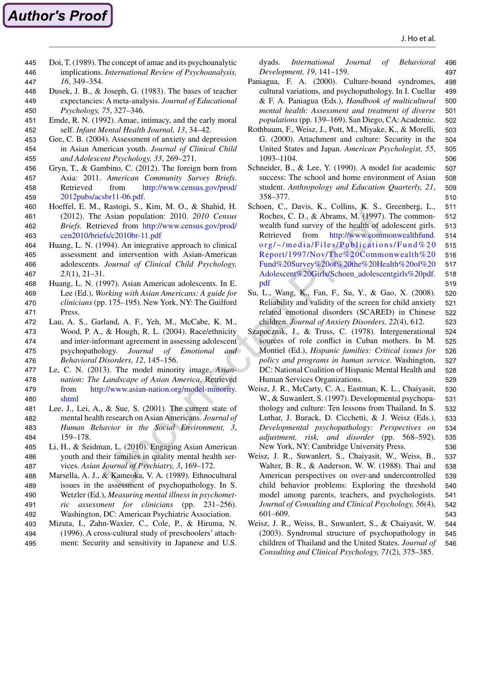**Author's Proof** 

- <span id="page-6-13"></span>Doi, T. (1989). The concept of amae and its psychoanalytic implications. *International Review of Psychoanalysis, 16*, 349–354. 445 446 447
- <span id="page-6-18"></span>Dusek, J. B., & Joseph, G. (1983). The bases of teacher expectancies: A meta-analysis. *Journal of Educational Psychology, 75*, 327–346. 448 449 450
- <span id="page-6-14"></span>Emde, R. N. (1992). Amae, intimacy, and the early moral self. *Infant Mental Health Journal, 13*, 34–42. 451 452
- <span id="page-6-6"></span>Gee, C. B. (2004). Assessment of anxiety and depression in Asian American youth. *Journal of Clinical Child and Adolescent Psychology, 33*, 269–271. 453 454 455
- <span id="page-6-17"></span>Gryn, T., & Gambino, C. (2012). The foreign born from Asia: 2011. *American Community Survey Briefs*. Retrieved from [http://www.census.gov/prod/](http://www.census.gov/prod/2012pubs/acsbr11-06.pdf)  [2012pubs/acsbr11-06.pdf](http://www.census.gov/prod/2012pubs/acsbr11-06.pdf). 456 457 458 459
- <span id="page-6-1"></span>Hoeffel, E. M., Rastogi, S., Kim, M. O., & Shahid, H. (2012). The Asian population: 2010. *2010 Census Briefs.* Retrieved from [http://www.census.gov/prod/](http://www.census.gov/prod/cen2010/briefs/c2010br-11.pdf) [cen2010/briefs/c2010br-11.pdf](http://www.census.gov/prod/cen2010/briefs/c2010br-11.pdf) 460 461 462 463
- <span id="page-6-0"></span>Huang, L. N. (1994). An integrative approach to clinical assessment and intervention with Asian-American adolescents. *Journal of Clinical Child Psychology, 23*(1), 21–31. 464 465 466 467
- <span id="page-6-8"></span>Huang, L. N. (1997). Asian American adolescents. In E. Lee (Ed.), *Working with Asian Americans: A guide for clinicians* (pp. 175–195). New York, NY: The Guilford Press. 468 469 470 471
- <span id="page-6-10"></span>Lau, A. S., Garland, A. F., Yeh, M., McCabe, K. M., Wood, P. A., & Hough, R. L. (2004). Race/ethnicity and inter-informant agreement in assessing adolescent psychopathology. *Journal of Emotional and Behavioral Disorders, 12*, 145–156. 472 473 474 475 476
- <span id="page-6-3"></span>Le, C. N. (2013). The model minority image. *Asiannation: The Landscape of Asian America*. Retrieved from [http://www.asian-nation.org/model-minority.](http://www.asian-nation.org/model-minority.shtml) [shtml](http://www.asian-nation.org/model-minority.shtml) 477 478 479 480
- <span id="page-6-2"></span>Lee, J., Lei, A., & Sue, S. (2001). The current state of mental health research on Asian Americans. *Journal of Human Behavior in the Social Environment, 3*, 159–178. 481 482 483 484
- <span id="page-6-5"></span>Li, H., & Seidman, L. (2010). Engaging Asian American youth and their families in quality mental health services. *Asian Journal of Psychiatry, 3*, 169–172. 485 486 487
- <span id="page-6-11"></span>Marsella, A. J., & Kameoka, V. A. (1989). Ethnocultural issues in the assessment of psychopathology. In S. Wetzler (Ed.), *Measuring mental illness in psychometric assessment for clinicians* (pp. 231–256). Washington, DC: American Psychiatric Association. 488 489 490 491 492
- <span id="page-6-15"></span>Mizuta, I., Zahn-Waxler, C., Cole, P., & Hiruma, N. (1996). A cross-cultural study of preschoolers' attach-493 494
- ment: Security and sensitivity in Japanese and U.S. 495

dyads. *International Journal of Behavioral Development, 19*, 141–159. 496 497

- <span id="page-6-7"></span>Paniagua, F. A. (2000). Culture-bound syndromes, cultural variations, and psychopathology. In I. Cuellar & F. A. Paniagua (Eds.), *Handbook of multicultural mental health: Assessment and treatment of diverse populations* (pp. 139–169). San Diego, CA: Academic. 498 499 500 501 502
- <span id="page-6-16"></span>Rothbaum, F., Weisz, J., Pott, M., Miyake, K., & Morelli, G. (2000). Attachment and culture: Security in the United States and Japan. *American Psychologist, 55*, 1093–1104. 503 504 505 506
- <span id="page-6-19"></span>Schneider, B., & Lee, Y. (1990). A model for academic success: The school and home environment of Asian student. *Anthropology and Education Quarterly, 21*, 358–377. 507 508 509 510
- <span id="page-6-4"></span>Schoen, C., Davis, K., Collins, K. S., Greenberg, L., Roches, C. D., & Abrams, M. (1997). The commonwealth fund survey of the health of adolescent girls. Retrieved from [http://www.commonwealthfund.](http://www.commonwealthfund.org/~/media/Files/Publications/Fund%20Report/1997/Nov/The%20Commonwealth%20Fund%20Survey%20of%20the%20Health%20of%20Adolescent%20Girls/Schoen_adolescentgirls%20pdf.pdf) [org/~/media/Files/Publications/Fund%20](http://www.commonwealthfund.org/~/media/Files/Publications/Fund%20Report/1997/Nov/The%20Commonwealth%20Fund%20Survey%20of%20the%20Health%20of%20Adolescent%20Girls/Schoen_adolescentgirls%20pdf.pdf) [Report/1997/Nov/The%20Commonwealth%20](http://www.commonwealthfund.org/~/media/Files/Publications/Fund%20Report/1997/Nov/The%20Commonwealth%20Fund%20Survey%20of%20the%20Health%20of%20Adolescent%20Girls/Schoen_adolescentgirls%20pdf.pdf) [Fund%20Survey%20of%20the%20Health%20of%20](http://www.commonwealthfund.org/~/media/Files/Publications/Fund%20Report/1997/Nov/The%20Commonwealth%20Fund%20Survey%20of%20the%20Health%20of%20Adolescent%20Girls/Schoen_adolescentgirls%20pdf.pdf) [Adolescent%20Girls/Schoen\\_adolescentgirls%20pdf.](http://www.commonwealthfund.org/~/media/Files/Publications/Fund%20Report/1997/Nov/The%20Commonwealth%20Fund%20Survey%20of%20the%20Health%20of%20Adolescent%20Girls/Schoen_adolescentgirls%20pdf.pdf) [pdf](http://www.commonwealthfund.org/~/media/Files/Publications/Fund%20Report/1997/Nov/The%20Commonwealth%20Fund%20Survey%20of%20the%20Health%20of%20Adolescent%20Girls/Schoen_adolescentgirls%20pdf.pdf) 511 512 513 514 515 516 517 518 519
- <span id="page-6-22"></span>Su, L., Wang, K., Fan, F., Su, Y., & Gao, X. (2008). Reliability and validity of the screen for child anxiety related emotional disorders (SCARED) in Chinese children. *Journal of Anxiety Disorders, 22*(4), 612. 520 521 522 523
- <span id="page-6-20"></span>Szapocznik, J., & Truss, C. (1978). Intergenerational sources of role conflict in Cuban mothers. In M. Montiel (Ed.), *Hispanic families: Critical issues for policy and programs in human service*. Washington, DC: National Coalition of Hispanic Mental Health and Human Services Organizations. 524 525 526 527 528 529
- <span id="page-6-9"></span>Weisz, J. R., McCarty, C. A., Eastman, K. L., Chaiyasit, W., & Suwanlert, S. (1997). Developmental psychopathology and culture: Ten lessons from Thailand. In S. Luthar, J. Burack, D. Cicchetti, & J. Weisz (Eds.), *Developmental psychopathology: Perspectives on adjustment, risk, and disorder* (pp. 568–592). New York, NY: Cambridge University Press. 530 531 532 533 534 535 536
- <span id="page-6-12"></span>Weisz, J. R., Suwanlert, S., Chaiyasit, W., Weiss, B., Walter, B. R., & Anderson, W. W. (1988). Thai and American perspectives on over-and undercontrolled child behavior problems: Exploring the threshold model among parents, teachers, and psychologists. *Journal of Consulting and Clinical Psychology, 56*(4), 601–609. 537 538 539 540 541 542 543
- <span id="page-6-21"></span>Weisz, J. R., Weiss, B., Suwanlert, S., & Chaiyasit, W. (2003). Syndromal structure of psychopathology in children of Thailand and the United States. *Journal of Consulting and Clinical Psychology, 71*(2), 375–385. 544 545 546